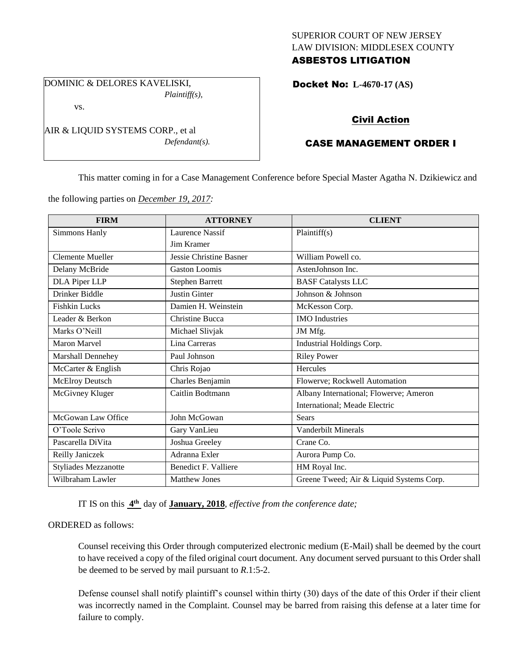## SUPERIOR COURT OF NEW JERSEY LAW DIVISION: MIDDLESEX COUNTY ASBESTOS LITIGATION

DOMINIC & DELORES KAVELISKI, *Plaintiff(s),*

vs.

AIR & LIQUID SYSTEMS CORP., et al *Defendant(s).* Docket No: **L-4670-17 (AS)** 

# Civil Action

# CASE MANAGEMENT ORDER I

This matter coming in for a Case Management Conference before Special Master Agatha N. Dzikiewicz and

the following parties on *December 19, 2017:*

| <b>FIRM</b>                 | <b>ATTORNEY</b>                | <b>CLIENT</b>                            |
|-----------------------------|--------------------------------|------------------------------------------|
| Simmons Hanly               | Laurence Nassif                | Plaintiff(s)                             |
|                             | Jim Kramer                     |                                          |
| <b>Clemente Mueller</b>     | <b>Jessie Christine Basner</b> | William Powell co.                       |
| Delany McBride              | <b>Gaston Loomis</b>           | AstenJohnson Inc.                        |
| <b>DLA Piper LLP</b>        | <b>Stephen Barrett</b>         | <b>BASF</b> Catalysts LLC                |
| Drinker Biddle              | <b>Justin Ginter</b>           | Johnson & Johnson                        |
| <b>Fishkin Lucks</b>        | Damien H. Weinstein            | McKesson Corp.                           |
| Leader & Berkon             | Christine Bucca                | <b>IMO</b> Industries                    |
| Marks O'Neill               | Michael Slivjak                | JM Mfg.                                  |
| <b>Maron Marvel</b>         | Lina Carreras                  | Industrial Holdings Corp.                |
| Marshall Dennehey           | Paul Johnson                   | <b>Riley Power</b>                       |
| McCarter & English          | Chris Rojao                    | Hercules                                 |
| <b>McElroy Deutsch</b>      | Charles Benjamin               | Flowerve; Rockwell Automation            |
| McGivney Kluger             | Caitlin Bodtmann               | Albany International; Flowerve; Ameron   |
|                             |                                | International; Meade Electric            |
| McGowan Law Office          | John McGowan                   | <b>Sears</b>                             |
| O'Toole Scrivo              | Gary VanLieu                   | Vanderbilt Minerals                      |
| Pascarella DiVita           | Joshua Greeley                 | Crane Co.                                |
| Reilly Janiczek             | Adranna Exler                  | Aurora Pump Co.                          |
| <b>Styliades Mezzanotte</b> | Benedict F. Valliere           | HM Royal Inc.                            |
| Wilbraham Lawler            | <b>Matthew Jones</b>           | Greene Tweed; Air & Liquid Systems Corp. |

IT IS on this **4 th** day of **January, 2018**, *effective from the conference date;*

## ORDERED as follows:

Counsel receiving this Order through computerized electronic medium (E-Mail) shall be deemed by the court to have received a copy of the filed original court document. Any document served pursuant to this Order shall be deemed to be served by mail pursuant to *R*.1:5-2.

Defense counsel shall notify plaintiff's counsel within thirty (30) days of the date of this Order if their client was incorrectly named in the Complaint. Counsel may be barred from raising this defense at a later time for failure to comply.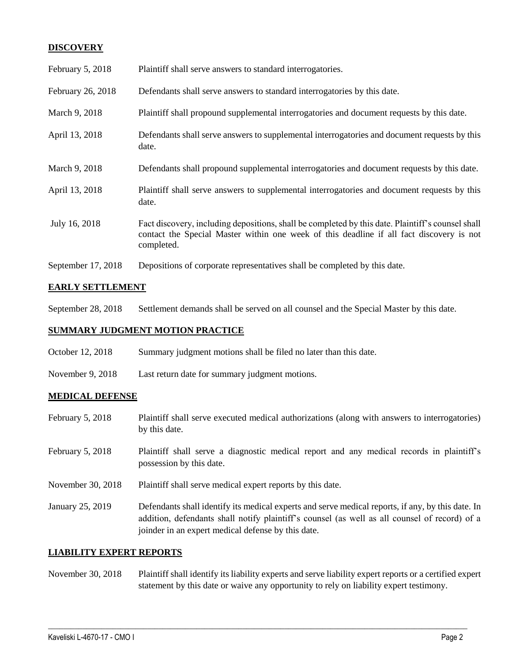## **DISCOVERY**

| February 5, 2018   | Plaintiff shall serve answers to standard interrogatories.                                                                                                                                                  |
|--------------------|-------------------------------------------------------------------------------------------------------------------------------------------------------------------------------------------------------------|
| February 26, 2018  | Defendants shall serve answers to standard interrogatories by this date.                                                                                                                                    |
| March 9, 2018      | Plaintiff shall propound supplemental interrogatories and document requests by this date.                                                                                                                   |
| April 13, 2018     | Defendants shall serve answers to supplemental interrogatories and document requests by this<br>date.                                                                                                       |
| March 9, 2018      | Defendants shall propound supplemental interrogatories and document requests by this date.                                                                                                                  |
| April 13, 2018     | Plaintiff shall serve answers to supplemental interrogatories and document requests by this<br>date.                                                                                                        |
| July 16, 2018      | Fact discovery, including depositions, shall be completed by this date. Plaintiff's counsel shall<br>contact the Special Master within one week of this deadline if all fact discovery is not<br>completed. |
| September 17, 2018 | Depositions of corporate representatives shall be completed by this date.                                                                                                                                   |

### **EARLY SETTLEMENT**

September 28, 2018 Settlement demands shall be served on all counsel and the Special Master by this date.

#### **SUMMARY JUDGMENT MOTION PRACTICE**

- October 12, 2018 Summary judgment motions shall be filed no later than this date.
- November 9, 2018 Last return date for summary judgment motions.

#### **MEDICAL DEFENSE**

- February 5, 2018 Plaintiff shall serve executed medical authorizations (along with answers to interrogatories) by this date.
- February 5, 2018 Plaintiff shall serve a diagnostic medical report and any medical records in plaintiff's possession by this date.
- November 30, 2018 Plaintiff shall serve medical expert reports by this date.
- January 25, 2019 Defendants shall identify its medical experts and serve medical reports, if any, by this date. In addition, defendants shall notify plaintiff's counsel (as well as all counsel of record) of a joinder in an expert medical defense by this date.

#### **LIABILITY EXPERT REPORTS**

November 30, 2018 Plaintiff shall identify its liability experts and serve liability expert reports or a certified expert statement by this date or waive any opportunity to rely on liability expert testimony.

 $\_$  ,  $\_$  ,  $\_$  ,  $\_$  ,  $\_$  ,  $\_$  ,  $\_$  ,  $\_$  ,  $\_$  ,  $\_$  ,  $\_$  ,  $\_$  ,  $\_$  ,  $\_$  ,  $\_$  ,  $\_$  ,  $\_$  ,  $\_$  ,  $\_$  ,  $\_$  ,  $\_$  ,  $\_$  ,  $\_$  ,  $\_$  ,  $\_$  ,  $\_$  ,  $\_$  ,  $\_$  ,  $\_$  ,  $\_$  ,  $\_$  ,  $\_$  ,  $\_$  ,  $\_$  ,  $\_$  ,  $\_$  ,  $\_$  ,